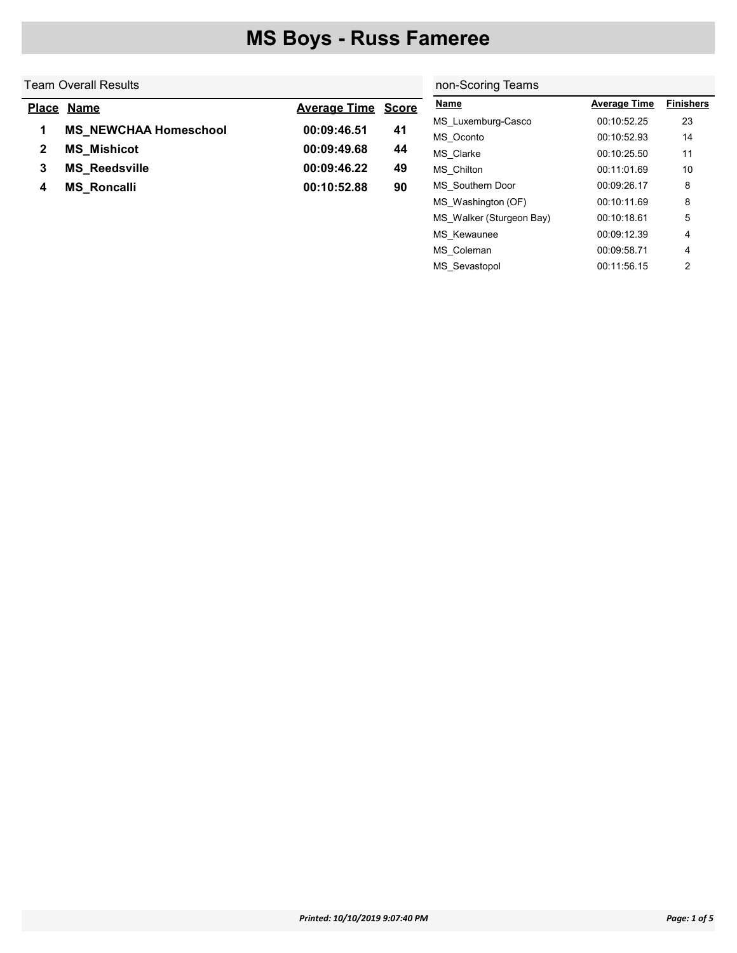| <b>Finishers</b> |
|------------------|
|                  |
| 23               |
| 14               |
| 11               |
| 10               |
| 8                |
| 8                |
| 5                |
|                  |

MS\_Kewaunee 00:09:12.39 4 MS\_Coleman 00:09:58.71 4 MS\_Sevastopol 00:11:56.15 2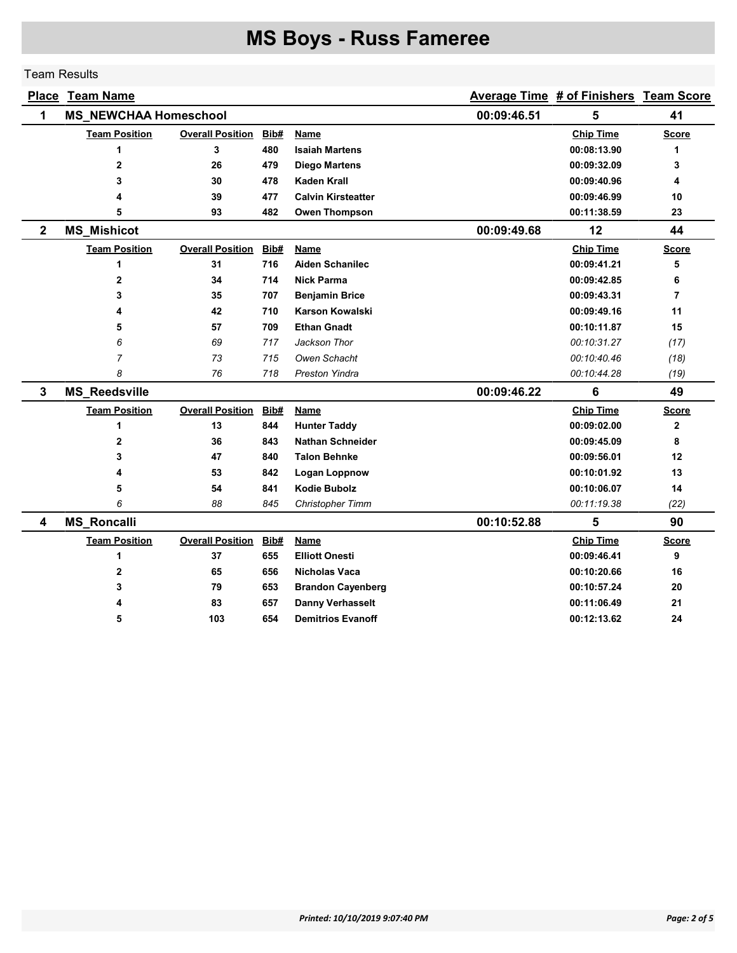### Team Results

| <b>Place</b> | <b>Team Name</b>                                |                         |             | Average Time # of Finishers Team Score |             |                  |                |
|--------------|-------------------------------------------------|-------------------------|-------------|----------------------------------------|-------------|------------------|----------------|
| 1            | <b>MS_NEWCHAA Homeschool</b>                    |                         | 00:09:46.51 | 5                                      | 41          |                  |                |
|              | <b>Team Position</b><br><b>Overall Position</b> |                         | Bib#        | Name                                   |             | <b>Chip Time</b> | <b>Score</b>   |
|              | 1                                               | 3                       | 480         | <b>Isaiah Martens</b>                  |             | 00:08:13.90      | 1              |
|              | 2                                               | 26                      | 479         | <b>Diego Martens</b>                   |             | 00:09:32.09      | 3              |
|              | 3                                               | 30                      | 478         | <b>Kaden Krall</b>                     |             | 00:09:40.96      | 4              |
|              | 4                                               | 39                      | 477         | <b>Calvin Kirsteatter</b>              |             | 00:09:46.99      | 10             |
|              | 5                                               | 93                      | 482         | <b>Owen Thompson</b>                   |             | 00:11:38.59      | 23             |
| $\mathbf 2$  | <b>MS_Mishicot</b>                              |                         |             |                                        | 00:09:49.68 | 12               | 44             |
|              | <b>Team Position</b>                            | <b>Overall Position</b> | Bib#        | <b>Name</b>                            |             | <b>Chip Time</b> | <b>Score</b>   |
|              | 1                                               | 31                      | 716         | <b>Aiden Schanilec</b>                 |             | 00:09:41.21      | 5              |
|              | $\mathbf{2}$                                    | 34                      | 714         | <b>Nick Parma</b>                      |             | 00:09:42.85      | 6              |
|              | 3                                               | 35                      | 707         | <b>Benjamin Brice</b>                  |             | 00:09:43.31      | $\overline{7}$ |
|              | 4                                               | 42                      | 710         | <b>Karson Kowalski</b>                 |             | 00:09:49.16      | 11             |
|              | 5                                               | 57                      | 709         | <b>Ethan Gnadt</b>                     |             | 00:10:11.87      | 15             |
|              | 6                                               | 69                      | 717         | Jackson Thor                           |             | 00:10:31.27      | (17)           |
|              | $\overline{7}$                                  | 73                      | 715         | Owen Schacht                           |             | 00:10:40.46      | (18)           |
|              | 8                                               | 76                      | 718         | <b>Preston Yindra</b>                  |             | 00:10:44.28      | (19)           |
| 3            | <b>MS_Reedsville</b>                            |                         |             |                                        | 00:09:46.22 | 6                | 49             |
|              | <b>Team Position</b>                            | <b>Overall Position</b> | Bib#        | Name                                   |             | <b>Chip Time</b> | <b>Score</b>   |
|              | 1                                               | 13                      | 844         | <b>Hunter Taddy</b>                    |             | 00:09:02.00      | $\mathbf{2}$   |
|              | 2                                               | 36                      | 843         | <b>Nathan Schneider</b>                |             | 00:09:45.09      | 8              |
|              | 3                                               | 47                      | 840         | <b>Talon Behnke</b>                    |             | 00:09:56.01      | 12             |
|              | 4                                               | 53                      | 842         | Logan Loppnow                          |             | 00:10:01.92      | 13             |
|              | 5                                               | 54                      | 841         | <b>Kodie Bubolz</b>                    |             | 00:10:06.07      | 14             |
|              | 6                                               | 88                      | 845         | Christopher Timm                       |             | 00:11:19.38      | (22)           |
| 4            | <b>MS_Roncalli</b>                              |                         |             |                                        | 00:10:52.88 | 5                | 90             |
|              | <b>Team Position</b>                            | <b>Overall Position</b> | Bib#        | Name                                   |             | <b>Chip Time</b> | <b>Score</b>   |
|              | 1                                               | 37                      | 655         | <b>Elliott Onesti</b>                  |             | 00:09:46.41      | 9              |
|              | $\mathbf{2}$                                    | 65                      | 656         | <b>Nicholas Vaca</b>                   |             | 00:10:20.66      | 16             |
|              | 3                                               | 79                      | 653         | <b>Brandon Cayenberg</b>               |             | 00:10:57.24      | 20             |
|              |                                                 | 83                      | 657         | <b>Danny Verhasselt</b>                |             | 00:11:06.49      | 21             |
|              | 5                                               | 103                     | 654         | <b>Demitrios Evanoff</b>               |             | 00:12:13.62      | 24             |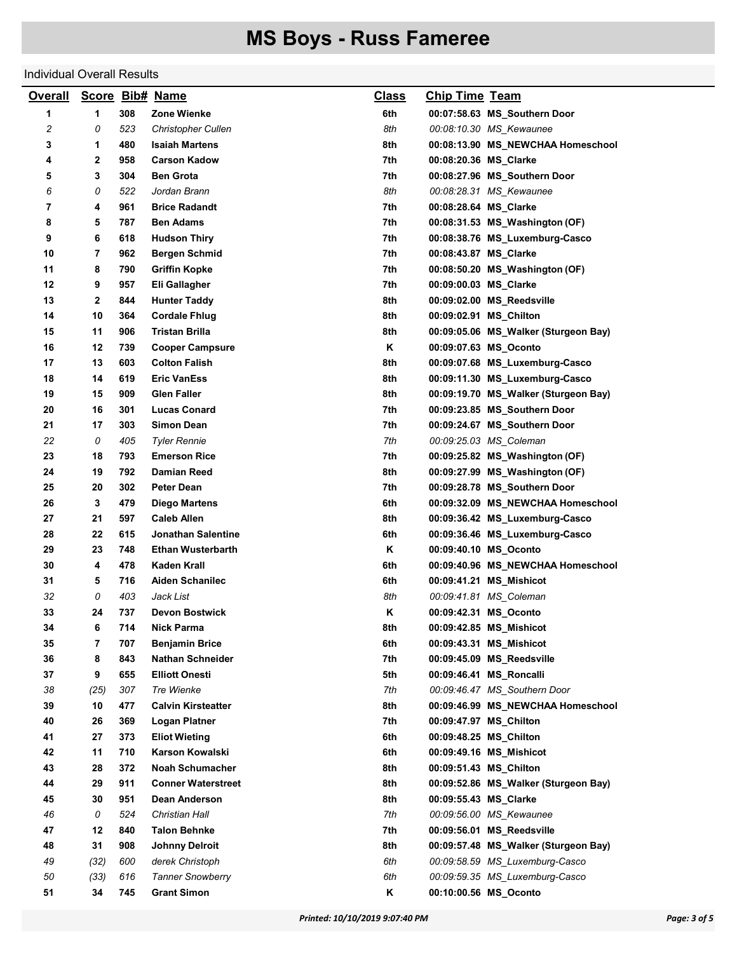### Individual Overall Results

| <b>Overall</b> |      |     | Score Bib# Name           | <u>Class</u> | <b>Chip Time Team</b>  |                                      |
|----------------|------|-----|---------------------------|--------------|------------------------|--------------------------------------|
| 1              | 1    | 308 | Zone Wienke               | 6th          |                        | 00:07:58.63 MS_Southern Door         |
| 2              | 0    | 523 | <b>Christopher Cullen</b> | 8th          |                        | 00:08:10.30 MS_Kewaunee              |
| 3              | 1    | 480 | <b>Isaiah Martens</b>     | 8th          |                        | 00:08:13.90 MS_NEWCHAA Homeschool    |
| 4              | 2    | 958 | <b>Carson Kadow</b>       | 7th          | 00:08:20.36 MS_Clarke  |                                      |
| 5              | 3    | 304 | <b>Ben Grota</b>          | 7th          |                        | 00:08:27.96 MS_Southern Door         |
| 6              | 0    | 522 | Jordan Brann              | 8th          |                        | 00:08:28.31 MS_Kewaunee              |
| 7              | 4    | 961 | <b>Brice Radandt</b>      | 7th          | 00:08:28.64 MS_Clarke  |                                      |
| 8              | 5    | 787 | <b>Ben Adams</b>          | 7th          |                        | 00:08:31.53 MS_Washington (OF)       |
| 9              | 6    | 618 | <b>Hudson Thiry</b>       | 7th          |                        | 00:08:38.76 MS_Luxemburg-Casco       |
| 10             | 7    | 962 | <b>Bergen Schmid</b>      | 7th          | 00:08:43.87 MS_Clarke  |                                      |
| 11             | 8    | 790 | <b>Griffin Kopke</b>      | 7th          |                        | 00:08:50.20 MS_Washington (OF)       |
| 12             | 9    | 957 | Eli Gallagher             | 7th          | 00:09:00.03 MS_Clarke  |                                      |
| 13             | 2    | 844 | <b>Hunter Taddy</b>       | 8th          |                        | 00:09:02.00 MS_Reedsville            |
| 14             | 10   | 364 | <b>Cordale Fhlug</b>      | 8th          | 00:09:02.91 MS_Chilton |                                      |
| 15             | 11   | 906 | <b>Tristan Brilla</b>     | 8th          |                        | 00:09:05.06 MS_Walker (Sturgeon Bay) |
| 16             | 12   | 739 | <b>Cooper Campsure</b>    | Κ            |                        | 00:09:07.63 MS Oconto                |
| 17             | 13   | 603 | <b>Colton Falish</b>      | 8th          |                        | 00:09:07.68 MS_Luxemburg-Casco       |
| 18             | 14   | 619 | <b>Eric VanEss</b>        | 8th          |                        | 00:09:11.30 MS_Luxemburg-Casco       |
| 19             | 15   | 909 | <b>Glen Faller</b>        | 8th          |                        | 00:09:19.70 MS_Walker (Sturgeon Bay) |
| 20             | 16   | 301 | <b>Lucas Conard</b>       | 7th          |                        | 00:09:23.85 MS_Southern Door         |
| 21             | 17   | 303 | <b>Simon Dean</b>         | 7th          |                        | 00:09:24.67 MS_Southern Door         |
| 22             | 0    | 405 | <b>Tyler Rennie</b>       | 7th          |                        | 00:09:25.03 MS_Coleman               |
| 23             | 18   | 793 | <b>Emerson Rice</b>       | 7th          |                        | 00:09:25.82 MS_Washington (OF)       |
| 24             | 19   | 792 | <b>Damian Reed</b>        | 8th          |                        | 00:09:27.99 MS_Washington (OF)       |
| 25             | 20   | 302 | <b>Peter Dean</b>         | 7th          |                        | 00:09:28.78 MS_Southern Door         |
| 26             | 3    | 479 | <b>Diego Martens</b>      | 6th          |                        | 00:09:32.09 MS_NEWCHAA Homeschool    |
| 27             | 21   | 597 | <b>Caleb Allen</b>        | 8th          |                        | 00:09:36.42 MS_Luxemburg-Casco       |
| 28             | 22   | 615 | Jonathan Salentine        | 6th          |                        | 00:09:36.46 MS_Luxemburg-Casco       |
| 29             | 23   | 748 | <b>Ethan Wusterbarth</b>  | Κ            |                        | 00:09:40.10 MS_Oconto                |
| 30             | 4    | 478 | Kaden Krall               | 6th          |                        | 00:09:40.96 MS_NEWCHAA Homeschool    |
| 31             | 5    | 716 | Aiden Schanilec           | 6th          |                        | 00:09:41.21 MS_Mishicot              |
| 32             | 0    | 403 | Jack List                 | 8th          |                        | 00:09:41.81 MS_Coleman               |
| 33             | 24   | 737 | <b>Devon Bostwick</b>     | Κ            |                        | 00:09:42.31 MS Oconto                |
| 34             | 6    | 714 | <b>Nick Parma</b>         | 8th          |                        | 00:09:42.85 MS_Mishicot              |
| 35             | 7    | 707 | <b>Benjamin Brice</b>     | 6th          |                        | 00:09:43.31 MS_Mishicot              |
| 36             | 8    | 843 | <b>Nathan Schneider</b>   | 7th          |                        | 00:09:45.09 MS_Reedsville            |
| 37             | 9    | 655 | <b>Elliott Onesti</b>     | 5th          |                        | 00:09:46.41 MS_Roncalli              |
| 38             | (25) | 307 | Tre Wienke                | 7th          |                        | 00:09:46.47 MS_Southern Door         |
| 39             | 10   | 477 | <b>Calvin Kirsteatter</b> | 8th          |                        | 00:09:46.99 MS NEWCHAA Homeschool    |
| 40             | 26   | 369 | Logan Platner             | 7th          |                        | 00:09:47.97 MS Chilton               |
| 41             | 27   | 373 | <b>Eliot Wieting</b>      | 6th          |                        | 00:09:48.25 MS_Chilton               |
| 42             | 11   | 710 | <b>Karson Kowalski</b>    | 6th          |                        | 00:09:49.16 MS_Mishicot              |
| 43             | 28   | 372 | <b>Noah Schumacher</b>    | 8th          |                        | 00:09:51.43 MS Chilton               |
| 44             | 29   | 911 | <b>Conner Waterstreet</b> | 8th          |                        | 00:09:52.86 MS_Walker (Sturgeon Bay) |
| 45             | 30   | 951 | Dean Anderson             | 8th          | 00:09:55.43 MS Clarke  |                                      |
| 46             | 0    | 524 | Christian Hall            | 7th          |                        | 00:09:56.00 MS_Kewaunee              |
| 47             | 12   | 840 | <b>Talon Behnke</b>       | 7th          |                        | 00:09:56.01 MS Reedsville            |
| 48             | 31   | 908 | <b>Johnny Delroit</b>     | 8th          |                        | 00:09:57.48 MS_Walker (Sturgeon Bay) |
| 49             | (32) | 600 | derek Christoph           | 6th          |                        | 00:09:58.59 MS_Luxemburg-Casco       |
| 50             | (33) | 616 | <b>Tanner Snowberry</b>   | 6th          |                        | 00:09:59.35 MS_Luxemburg-Casco       |
| 51             | 34   | 745 | <b>Grant Simon</b>        | Κ            |                        | 00:10:00.56 MS_Oconto                |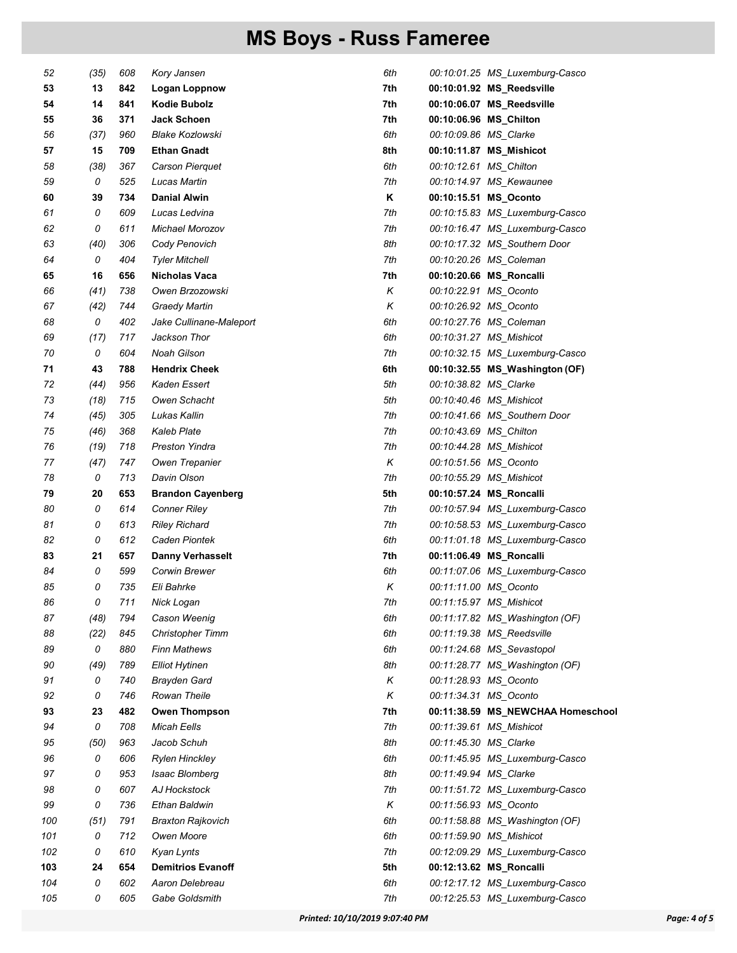| 52  | (35) | 608 | Kory Jansen              | 6th |                        | 00:10:01.25 MS_Luxemburg-Casco    |
|-----|------|-----|--------------------------|-----|------------------------|-----------------------------------|
| 53  | 13   | 842 | Logan Loppnow            | 7th |                        | 00:10:01.92 MS_Reedsville         |
| 54  | 14   | 841 | <b>Kodie Bubolz</b>      | 7th |                        | 00:10:06.07 MS_Reedsville         |
| 55  | 36   | 371 | <b>Jack Schoen</b>       | 7th |                        | 00:10:06.96 MS_Chilton            |
| 56  | (37) | 960 | <b>Blake Kozlowski</b>   | 6th | 00:10:09.86 MS Clarke  |                                   |
| 57  | 15   | 709 | <b>Ethan Gnadt</b>       | 8th |                        | 00:10:11.87 MS_Mishicot           |
| 58  | (38) | 367 | Carson Pierquet          | 6th | 00:10:12.61 MS_Chilton |                                   |
| 59  | 0    | 525 | Lucas Martin             | 7th |                        | 00:10:14.97 MS_Kewaunee           |
| 60  | 39   | 734 | <b>Danial Alwin</b>      | Κ   |                        | 00:10:15.51 MS_Oconto             |
| 61  | 0    | 609 | Lucas Ledvina            | 7th |                        | 00:10:15.83 MS_Luxemburg-Casco    |
| 62  | 0    | 611 | Michael Morozov          | 7th |                        | 00:10:16.47 MS_Luxemburg-Casco    |
| 63  | (40) | 306 | Cody Penovich            | 8th |                        | 00:10:17.32 MS_Southern Door      |
| 64  | 0    | 404 | <b>Tyler Mitchell</b>    | 7th |                        | 00:10:20.26 MS_Coleman            |
| 65  | 16   | 656 | Nicholas Vaca            | 7th |                        | 00:10:20.66 MS_Roncalli           |
| 66  | (41) | 738 | Owen Brzozowski          | Κ   |                        | 00:10:22.91 MS_Oconto             |
| 67  | (42) | 744 | <b>Graedy Martin</b>     | Κ   |                        | 00:10:26.92 MS_Oconto             |
| 68  | 0    | 402 | Jake Cullinane-Maleport  | 6th |                        | 00:10:27.76 MS_Coleman            |
| 69  | (17) | 717 | Jackson Thor             | 6th |                        | 00:10:31.27 MS_Mishicot           |
| 70  | 0    | 604 | <b>Noah Gilson</b>       | 7th |                        | 00:10:32.15 MS_Luxemburg-Casco    |
| 71  | 43   | 788 | <b>Hendrix Cheek</b>     | 6th |                        | 00:10:32.55 MS_Washington (OF)    |
| 72  | (44) | 956 | Kaden Essert             | 5th | 00:10:38.82 MS_Clarke  |                                   |
| 73  | (18) | 715 | Owen Schacht             | 5th |                        | 00:10:40.46 MS_Mishicot           |
| 74  | (45) | 305 | Lukas Kallin             | 7th |                        | 00:10:41.66 MS_Southern Door      |
| 75  | (46) | 368 | <b>Kaleb Plate</b>       | 7th | 00:10:43.69 MS_Chilton |                                   |
| 76  | (19) | 718 | <b>Preston Yindra</b>    | 7th |                        | 00:10:44.28 MS_Mishicot           |
| 77  | (47) | 747 | Owen Trepanier           | Κ   |                        | 00:10:51.56 MS_Oconto             |
| 78  | 0    | 713 | Davin Olson              | 7th |                        | 00:10:55.29 MS_Mishicot           |
| 79  | 20   | 653 | <b>Brandon Cayenberg</b> | 5th |                        | 00:10:57.24 MS_Roncalli           |
| 80  | 0    | 614 | <b>Conner Riley</b>      | 7th |                        | 00:10:57.94 MS_Luxemburg-Casco    |
| 81  | 0    | 613 | <b>Riley Richard</b>     | 7th |                        | 00:10:58.53 MS_Luxemburg-Casco    |
| 82  | 0    | 612 | Caden Piontek            | 6th |                        | 00:11:01.18 MS_Luxemburg-Casco    |
| 83  | 21   | 657 | <b>Danny Verhasselt</b>  | 7th |                        | 00:11:06.49 MS_Roncalli           |
| 84  | 0    | 599 | Corwin Brewer            | 6th |                        | 00:11:07.06 MS_Luxemburg-Casco    |
| 85  | 0    | 735 | Eli Bahrke               | Κ   |                        | 00:11:11.00 MS_Oconto             |
| 86  | 0    | 711 | Nick Logan               | 7th |                        | 00:11:15.97 MS_Mishicot           |
| 87  | (48) | 794 | Cason Weenig             | 6th |                        | 00:11:17.82 MS_Washington (OF)    |
| 88  | (22) | 845 | <b>Christopher Timm</b>  | 6th |                        | 00:11:19.38 MS_Reedsville         |
| 89  | 0    | 880 | <b>Finn Mathews</b>      | 6th |                        | 00:11:24.68 MS_Sevastopol         |
| 90  | (49) | 789 | <b>Elliot Hytinen</b>    | 8th |                        | 00:11:28.77 MS_Washington (OF)    |
| 91  | 0    | 740 | <b>Brayden Gard</b>      | Κ   |                        | 00:11:28.93 MS Oconto             |
| 92  | 0    | 746 | Rowan Theile             | Κ   |                        | 00:11:34.31 MS_Oconto             |
| 93  | 23   | 482 | <b>Owen Thompson</b>     | 7th |                        | 00:11:38.59 MS_NEWCHAA Homeschool |
| 94  | 0    | 708 | <b>Micah Eells</b>       | 7th |                        | 00:11:39.61 MS_Mishicot           |
| 95  | (50) | 963 | Jacob Schuh              | 8th | 00:11:45.30 MS_Clarke  |                                   |
| 96  | 0    | 606 | <b>Rylen Hinckley</b>    | 6th |                        | 00:11:45.95 MS_Luxemburg-Casco    |
| 97  | 0    | 953 | Isaac Blomberg           | 8th | 00:11:49.94 MS_Clarke  |                                   |
| 98  | 0    | 607 | AJ Hockstock             | 7th |                        | 00:11:51.72 MS_Luxemburg-Casco    |
| 99  | 0    | 736 | Ethan Baldwin            | Κ   |                        | 00:11:56.93 MS_Oconto             |
| 100 | (51) | 791 | <b>Braxton Rajkovich</b> | 6th |                        | 00:11:58.88 MS_Washington (OF)    |
| 101 | 0    | 712 | Owen Moore               | 6th |                        | 00:11:59.90 MS_Mishicot           |
| 102 | 0    | 610 | Kyan Lynts               | 7th |                        | 00:12:09.29 MS_Luxemburg-Casco    |
| 103 | 24   | 654 | <b>Demitrios Evanoff</b> | 5th |                        | 00:12:13.62 MS_Roncalli           |
| 104 | 0    | 602 | Aaron Delebreau          | 6th |                        | 00:12:17.12 MS_Luxemburg-Casco    |
| 105 | 0    | 605 | Gabe Goldsmith           | 7th |                        | 00:12:25.53 MS_Luxemburg-Casco    |
|     |      |     |                          |     |                        |                                   |